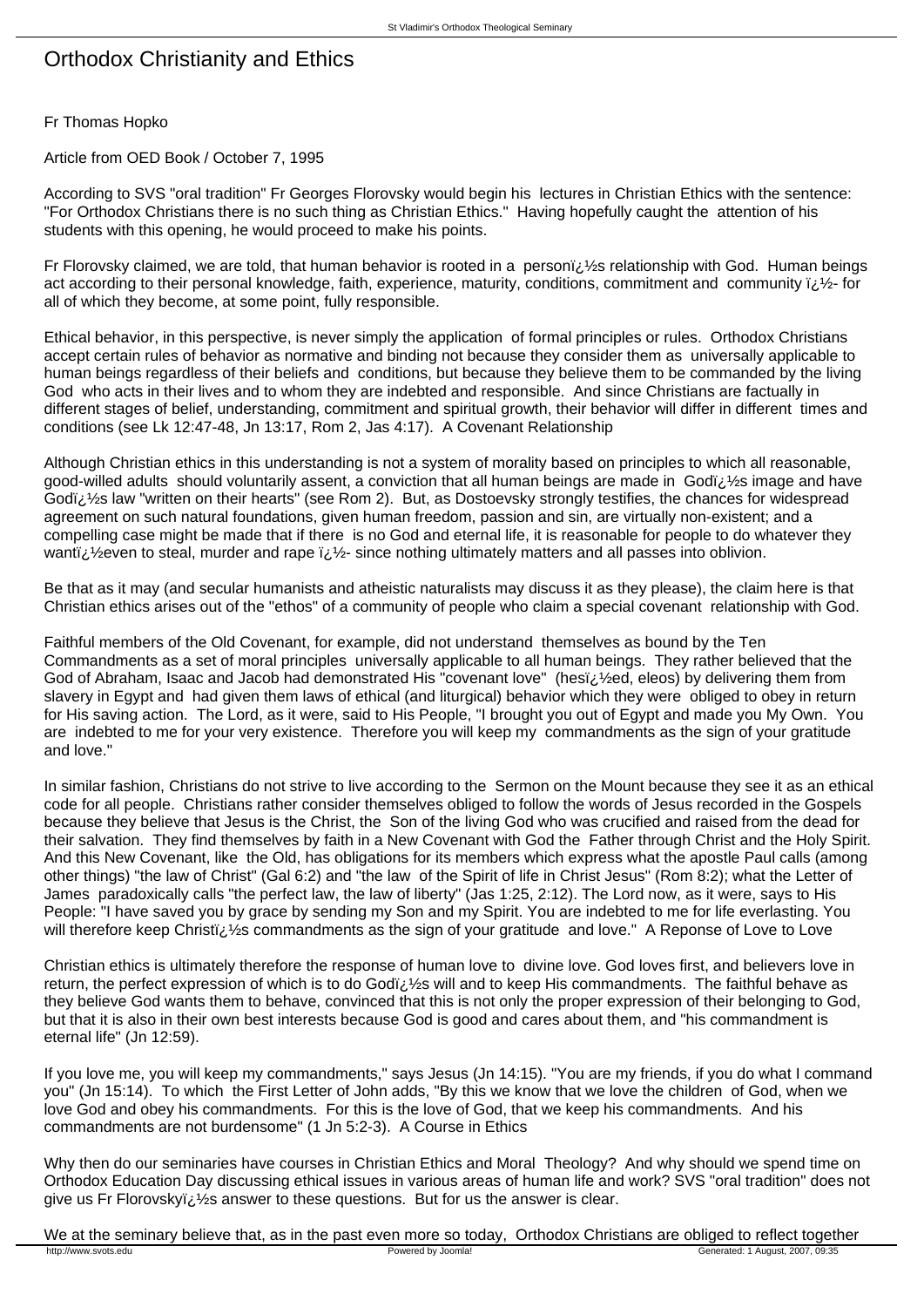## Orthodox Christianity and Ethics

## Fr Thomas Hopko

Article from OED Book / October 7, 1995

According to SVS "oral tradition" Fr Georges Florovsky would begin his lectures in Christian Ethics with the sentence: "For Orthodox Christians there is no such thing as Christian Ethics." Having hopefully caught the attention of his students with this opening, he would proceed to make his points.

Fr Florovsky claimed, we are told, that human behavior is rooted in a personi; 1/2s relationship with God. Human beings act according to their personal knowledge, faith, experience, maturity, conditions, commitment and community  $\ddot{\nu}$  for all of which they become, at some point, fully responsible.

Ethical behavior, in this perspective, is never simply the application of formal principles or rules. Orthodox Christians accept certain rules of behavior as normative and binding not because they consider them as universally applicable to human beings regardless of their beliefs and conditions, but because they believe them to be commanded by the living God who acts in their lives and to whom they are indebted and responsible. And since Christians are factually in different stages of belief, understanding, commitment and spiritual growth, their behavior will differ in different times and conditions (see Lk 12:47-48, Jn 13:17, Rom 2, Jas 4:17). A Covenant Relationship

Although Christian ethics in this understanding is not a system of morality based on principles to which all reasonable, good-willed adults should voluntarily assent, a conviction that all human beings are made in Godï¿ 1/2 simage and have Godï $i$ ,  $i$ s law "written on their hearts" (see Rom 2). But, as Dostoevsky strongly testifies, the chances for widespread agreement on such natural foundations, given human freedom, passion and sin, are virtually non-existent; and a compelling case might be made that if there is no God and eternal life, it is reasonable for people to do whatever they wanti; 1/2 even to steal, murder and rape  $\frac{1}{2}$  since nothing ultimately matters and all passes into oblivion.

Be that as it may (and secular humanists and atheistic naturalists may discuss it as they please), the claim here is that Christian ethics arises out of the "ethos" of a community of people who claim a special covenant relationship with God.

Faithful members of the Old Covenant, for example, did not understand themselves as bound by the Ten Commandments as a set of moral principles universally applicable to all human beings. They rather believed that the God of Abraham, Isaac and Jacob had demonstrated His "covenant love" (hesï ¿ ½ed, eleos) by delivering them from slavery in Egypt and had given them laws of ethical (and liturgical) behavior which they were obliged to obey in return for His saving action. The Lord, as it were, said to His People, "I brought you out of Egypt and made you My Own. You are indebted to me for your very existence. Therefore you will keep my commandments as the sign of your gratitude and love."

In similar fashion, Christians do not strive to live according to the Sermon on the Mount because they see it as an ethical code for all people. Christians rather consider themselves obliged to follow the words of Jesus recorded in the Gospels because they believe that Jesus is the Christ, the Son of the living God who was crucified and raised from the dead for their salvation. They find themselves by faith in a New Covenant with God the Father through Christ and the Holy Spirit. And this New Covenant, like the Old, has obligations for its members which express what the apostle Paul calls (among other things) "the law of Christ" (Gal 6:2) and "the law of the Spirit of life in Christ Jesus" (Rom 8:2); what the Letter of James paradoxically calls "the perfect law, the law of liberty" (Jas 1:25, 2:12). The Lord now, as it were, says to His People: "I have saved you by grace by sending my Son and my Spirit. You are indebted to me for life everlasting. You will therefore keep Christi i 1/2s commandments as the sign of your gratitude and love." A Reponse of Love to Love

Christian ethics is ultimately therefore the response of human love to divine love. God loves first, and believers love in return, the perfect expression of which is to do Godi, 1/2s will and to keep His commandments. The faithful behave as they believe God wants them to behave, convinced that this is not only the proper expression of their belonging to God, but that it is also in their own best interests because God is good and cares about them, and "his commandment is eternal life" (Jn 12:59).

If you love me, you will keep my commandments," says Jesus (Jn 14:15). "You are my friends, if you do what I command you" (Jn 15:14). To which the First Letter of John adds, "By this we know that we love the children of God, when we love God and obey his commandments. For this is the love of God, that we keep his commandments. And his commandments are not burdensome" (1 Jn 5:2-3). A Course in Ethics

Why then do our seminaries have courses in Christian Ethics and Moral Theology? And why should we spend time on Orthodox Education Day discussing ethical issues in various areas of human life and work? SVS "oral tradition" does not give us Fr Florovsky $i,j$   $\frac{1}{2}$ s answer to these questions. But for us the answer is clear.

We at the seminary believe that, as in the past even more so today, Orthodox Christians are obliged to reflect together<br>
Musus and a Generated: 1 August, 2007, 09:35 http://www.svots.edu **Powered by Joomla!** Powered by Joomla! Generated: 1 August, 2007, 09:35